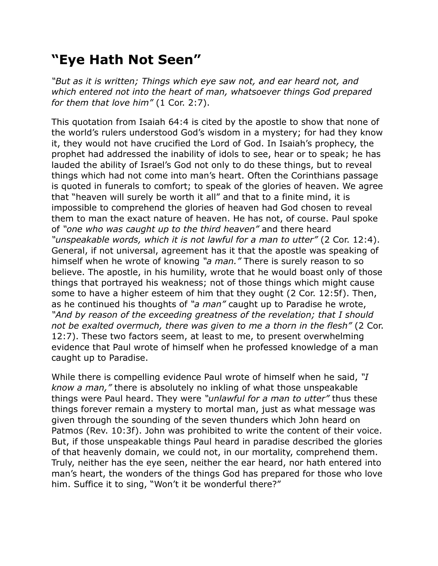## **"Eye Hath Not Seen"**

*"But as it is written; Things which eye saw not, and ear heard not, and which entered not into the heart of man, whatsoever things God prepared for them that love him"* (1 Cor. 2:7).

This quotation from Isaiah 64:4 is cited by the apostle to show that none of the world's rulers understood God's wisdom in a mystery; for had they know it, they would not have crucified the Lord of God. In Isaiah's prophecy, the prophet had addressed the inability of idols to see, hear or to speak; he has lauded the ability of Israel's God not only to do these things, but to reveal things which had not come into man's heart. Often the Corinthians passage is quoted in funerals to comfort; to speak of the glories of heaven. We agree that "heaven will surely be worth it all" and that to a finite mind, it is impossible to comprehend the glories of heaven had God chosen to reveal them to man the exact nature of heaven. He has not, of course. Paul spoke of *"one who was caught up to the third heaven"* and there heard *"unspeakable words, which it is not lawful for a man to utter"* (2 Cor. 12:4). General, if not universal, agreement has it that the apostle was speaking of himself when he wrote of knowing *"a man."* There is surely reason to so believe. The apostle, in his humility, wrote that he would boast only of those things that portrayed his weakness; not of those things which might cause some to have a higher esteem of him that they ought (2 Cor. 12:5f). Then, as he continued his thoughts of *"a man"* caught up to Paradise he wrote, *"And by reason of the exceeding greatness of the revelation; that I should not be exalted overmuch, there was given to me a thorn in the flesh"* (2 Cor. 12:7). These two factors seem, at least to me, to present overwhelming evidence that Paul wrote of himself when he professed knowledge of a man caught up to Paradise.

While there is compelling evidence Paul wrote of himself when he said, *"I know a man,"* there is absolutely no inkling of what those unspeakable things were Paul heard. They were *"unlawful for a man to utter"* thus these things forever remain a mystery to mortal man, just as what message was given through the sounding of the seven thunders which John heard on Patmos (Rev. 10:3f). John was prohibited to write the content of their voice. But, if those unspeakable things Paul heard in paradise described the glories of that heavenly domain, we could not, in our mortality, comprehend them. Truly, neither has the eye seen, neither the ear heard, nor hath entered into man's heart, the wonders of the things God has prepared for those who love him. Suffice it to sing, "Won't it be wonderful there?"